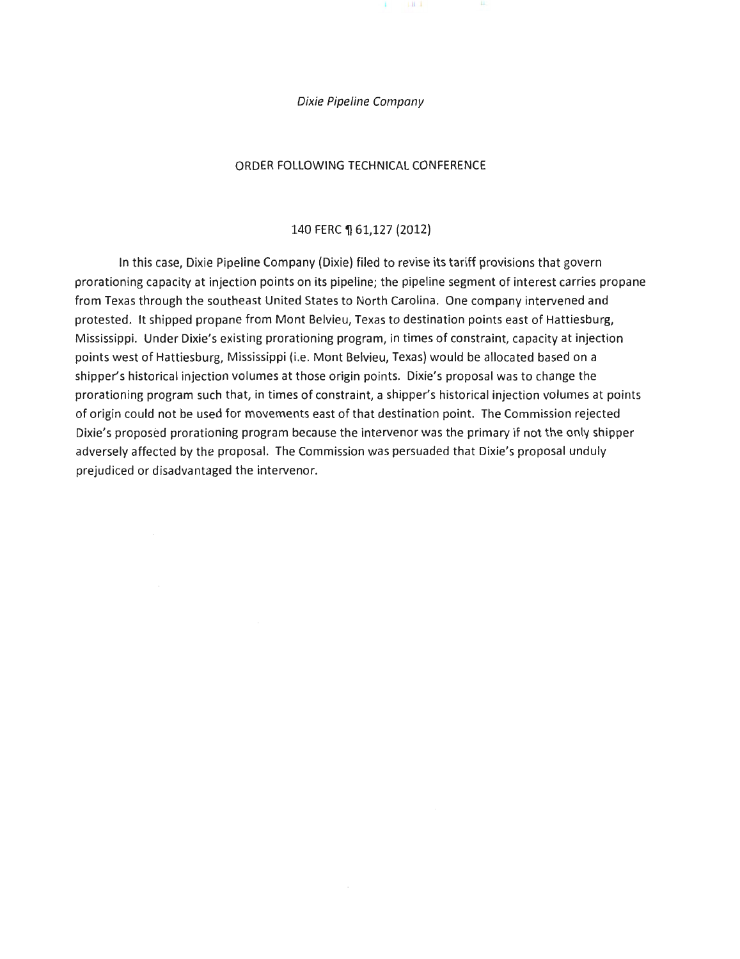

 $\perp$ H  $\perp$ 

#### ORDER FOLLOWING TECHNICAL CONFERENCE

#### 140 FERC 1 61,127 (2012)

In this case, Dixie Pipeline Company (Dixie) filed to revise its tariff provisions that govern prorationing capacity at injection points on its pipeline; the pipeline segment of interest carries propane from Texas through the southeast United States to North Carolina. One company intervened and protested. It shipped propane from Mont Belvieu, Texas to destination points east of Hattiesburg, Mississippi. Under Dixie's existing prorationing program, in times of constraint, capacity at injection points west of Hattiesburg, Mississippi (i.e. Mont Belvieu, Texas) would be allocated based on a shipper's historical injection volumes at those origin points. Dixie's proposal was to change the prorationing program such that, in times of constraint, a shipper's historical injection volumes at points of origin could not be used for movements east of that destination point. The Commission rejected Dixie's proposed prorationing program because the intervenor was the primary if not the only shipper adversely affected by the proposal. The Commission was persuaded that Dixie's proposal unduly prejudiced or disadvantaged the intervenor.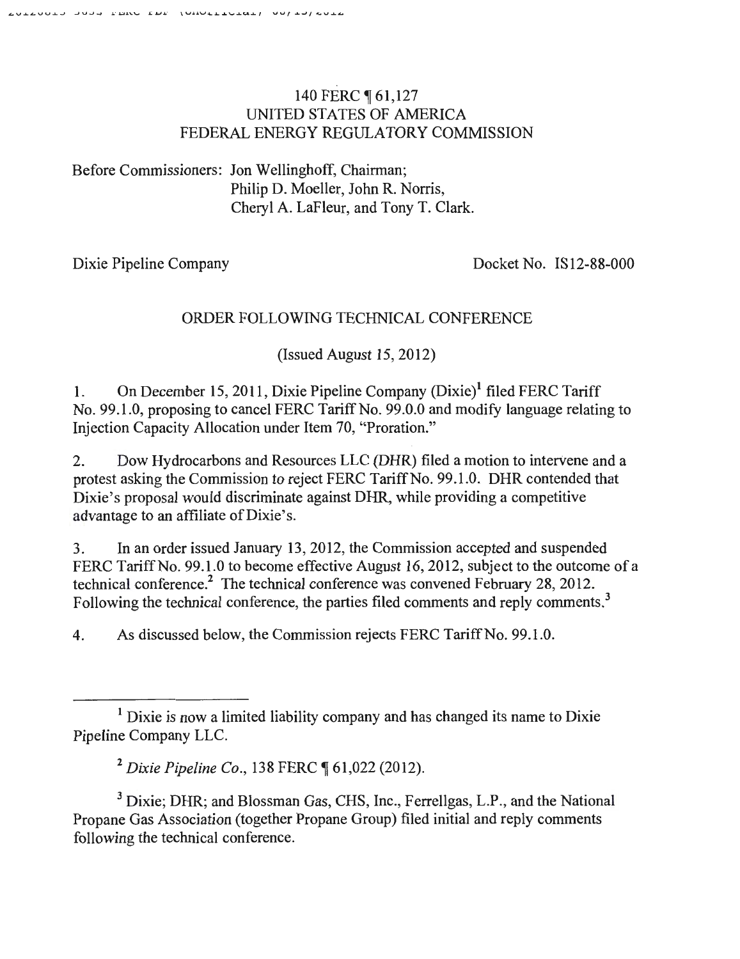# 140 FERC 161,127 UNITED STATES OF AMERICA FEDERAL ENERGY REGULATORY COMMISSION

Before Commissioners: Jon Wellinghoff, Chairman; Philip D. Moeller, John R. Norris, Cheryl A. LaFleur, and Tony T. Clark.

Dixie Pipeline Company

Docket No. IS12-88-000

# ORDER FOLLOWING TECHNICAL CONFERENCE

 $(Issued August 15, 2012)$ 

1. On December 15, 2011, Dixie Pipeline Company (Dixie)<sup>1</sup> filed FERC Tariff No. 99.1.0, proposing to cancel FERC Tariff No. 99.0.0 and modify language relating to Injection Capacity Allocation under Item 70, "Proration."

2. Dow Hydrocarbons and Resources LLC (DHR) filed a motion to intervene and a protest asking the Commission to reject FERC Tariff No. 99.1.0. DHR contended that Dixie's proposal would discriminate against DHR, while providing a competitive advantage to an affiliate of Dixie's.

3. In an order issued January 13, 2012, the Commission accepted and suspended FERC Tariff No. 99.1.0 to become effective August 16, 2012, subject to the outcome of a technical conference.<sup>2</sup> The technical conference was convened February 28, 2012. Following the technical conference, the parties filed comments and reply comments.<sup>3</sup>

4. As discussed below, the Commission rejects FERC Tariff No. 99.1.0.

 $<sup>1</sup>$  Dixie is now a limited liability company and has changed its name to Dixie</sup> Pipeline Company LLC.

<sup>&</sup>lt;sup>2</sup> Dixie Pipeline Co., 138 FERC ¶ 61,022 (2012).

<sup>&</sup>lt;sup>3</sup> Dixie; DHR; and Blossman Gas, CHS, Inc., Ferrellgas, L.P., and the National Propane Gas Association (together Propane Group) filed initial and reply comments following the technical conference.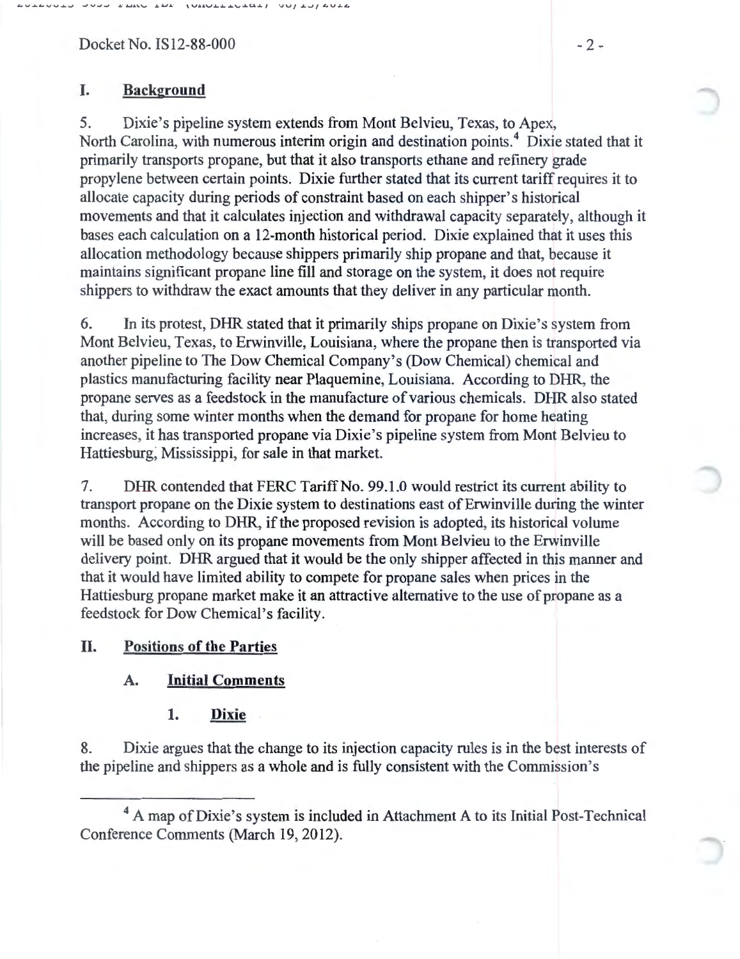Docket No. IS12-88-000 - 2 -

## **I. Background**

5. Dixie's pipeline system extends from Mont Belvieu, Texas, to Apex, North Carolina, with numerous interim origin and destination points. 4 Dixie stated that it primarily transports propane, but that it also transports ethane and refinery grade propylene between certain points. Dixie further stated that its current tariff requires it to allocate capacity during periods of constraint based on each shipper's historical movements and that it calculates injection and withdrawal capacity separately, although it bases each calculation on a 12-month historical period. Dixie explained that it uses this allocation methodology because shippers primarily ship propane and that, because it maintains significant propane line fill and storage on the system, it does not require shippers to withdraw the exact amounts that they deliver in any particular month.

6. In its protest, DHR stated that it primarily ships propane on Dixie's system from Mont Belvieu, Texas, to Erwinville, Louisiana, where the propane then is transported via another pipeline to The Dow Chemical Company's (Dow Chemical) chemical and plastics manufacturing facility near Plaquemine, Louisiana. According to DHR, the propane serves as a feedstock in the manufacture of various chemicals. DHR also stated that, during some winter months when the demand for propane for home heating increases, it has transported propane via Dixie's pipeline system from Mont Belvieu to Hattiesburg, Mississippi, for sale in that market.

7. DHR contended that FERC Tariff No. 99.1.0 would restrict its current ability to transport propane on the Dixie system to destinations east of Erwinville during the winter months. According to DHR, if the proposed revision is adopted, its historical volume will be based only on its propane movements from Mont Belvieu to the Erwinville delivery point. DHR argued that it would be the only shipper affected in this manner and that it would have limited ability to compete for propane sales when prices in the Hattiesburg propane market make it an attractive alternative to the use of propane as a feedstock for Dow Chemical's facility.

#### **II. Positions of the Parties**

#### **A. Initial Comments**

**1. Dixie** 

8. Dixie argues that the change to its injection capacity rules is in the best interests of the pipeline and shippers as a whole and is fully consistent with the Commission's

<sup>&</sup>lt;sup>4</sup> A map of Dixie's system is included in Attachment A to its Initial Post-Technical Conference Comments (March 19, 2012).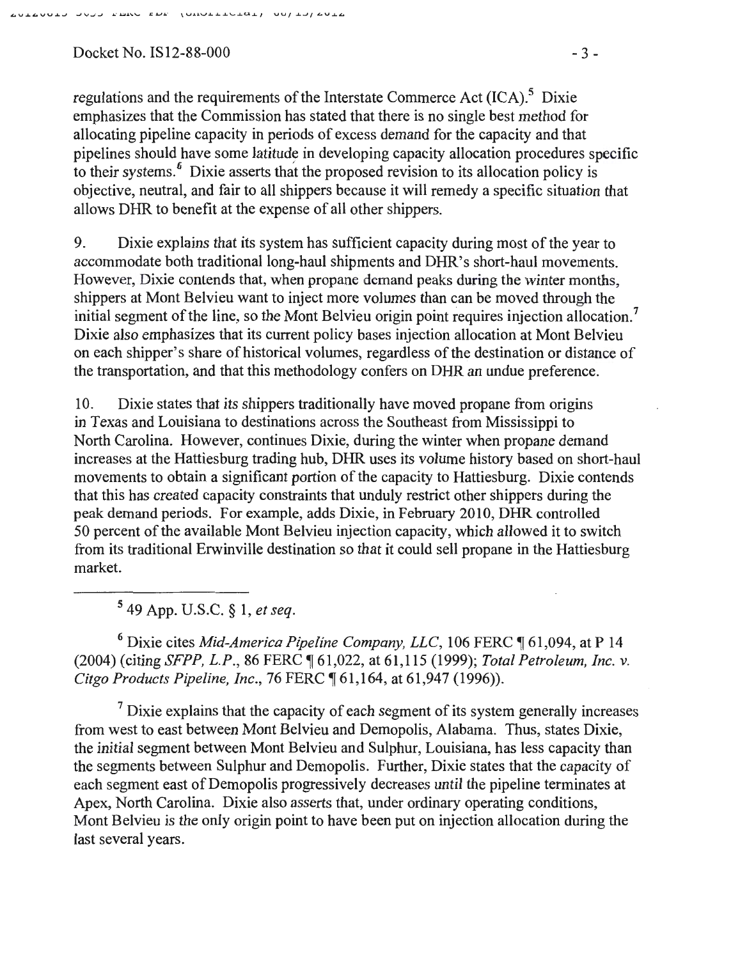Docket No. IS12-88-000  $-3-$ 

regulations and the requirements of the Interstate Commerce Act  $(ICA)$ <sup>5</sup>. Dixie emphasizes that the Commission has stated that there is no single best method for allocating pipeline capacity in periods of excess demand for the capacity and that pipelines should have some latitude in developing capacity allocation procedures specific to their systems.<sup>6</sup> Dixie asserts that the proposed revision to its allocation policy is objective, neutral, and fair to all shippers because it will remedy a specific situation that allows DHR to benefit at the expense of all other shippers.

9. Dixie explains that its system has sufficient capacity during most of the year to accommodate both traditional long-haul shipments and DHR's short-haul movements. However, Dixie contends that, when propane demand peaks during the winter months, shippers at Mont Belvieu want to inject more volumes than can be moved through the initial segment of the line, so the Mont Belvieu origin point requires injection allocation.<sup>7</sup> Dixie also emphasizes that its current policy bases injection allocation at Mont Belvieu on each shipper's share of historical volumes, regardless of the destination or distance of the transportation, and that this methodology confers on DHR an undue preference.

10. Dixie states that its shippers traditionally have moved propane from origins in Texas and Louisiana to destinations across the Southeast from Mississippi to North Carolina. However, continues Dixie, during the winter when propane demand increases at the Hattiesburg trading hub, DHR uses its volume history based on short-haul movements to obtain a significant portion of the capacity to Hattiesburg. Dixie contends that this has created capacity constraints that unduly restrict other shippers during the peak demand periods. For example, adds Dixie, in February 2010, DHR controlled 50 percent of the available Mont Belvieu injection capacity, which allowed it to switch from its traditional Erwinville destination so that it could sell propane in the Hattiesburg market.

5 49 App. U.S.C. § 1, *et seq.* 

<sup>6</sup> Dixie cites *Mid-America Pipeline Company, LLC*, 106 FERC ¶ 61,094, at P 14 (2004) (citing *SFPP, L.P.,* 86 PERC~ 61,022, at 61 ,115 (1999); *Total Petroleum, Inc.* v. *Citgo Products Pipeline, Inc.,* 76 PERC~ 61 ,164, at 61 ,947 (1996)).

 $<sup>7</sup>$  Dixie explains that the capacity of each segment of its system generally increases</sup> from west to east between Mont Belvieu and Demopolis, Alabama. Thus, states Dixie, the initial segment between Mont Belvieu and Sulphur, Louisiana, has less capacity than the segments between Sulphur and Demopolis. Further, Dixie states that the capacity of each segment east of Demopolis progressively decreases until the pipeline terminates at Apex, North Carolina. Dixie also asserts that, under ordinary operating conditions, Mont Belvieu is the only origin point to have been put on injection allocation during the last several years.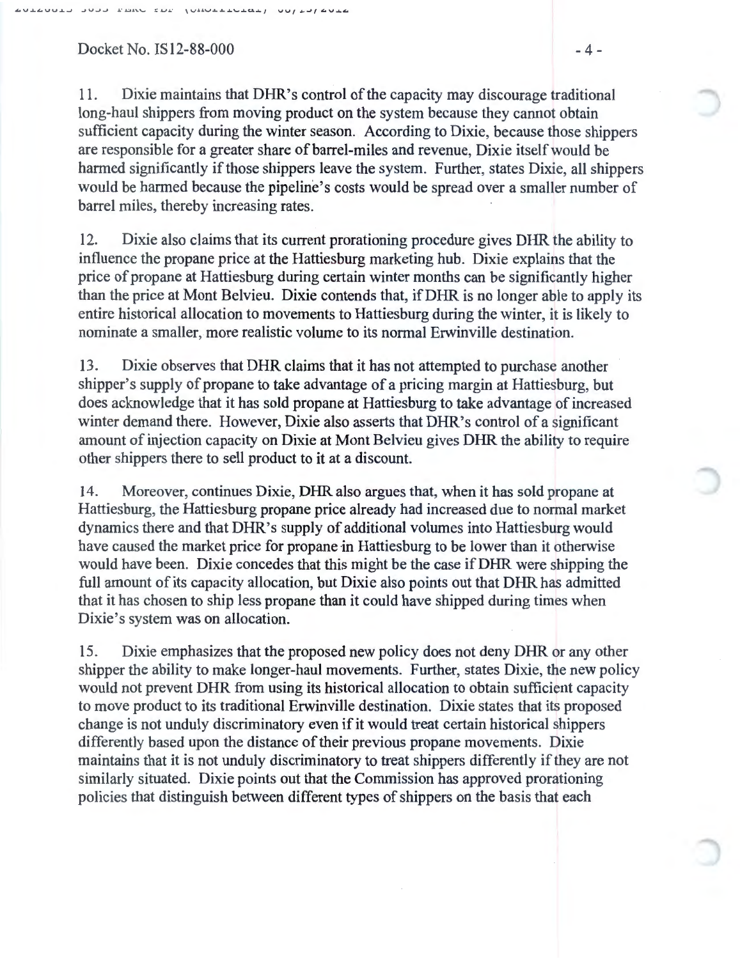Docket No.  $1S12-88-000$   $-4-$ 

11. Dixie maintains that DHR's control of the capacity may discourage traditional long-haul shippers from moving product on the system because they cannot obtain sufficient capacity during the winter season. According to Dixie, because those shippers are responsible for a greater share of barrel-miles and revenue, Dixie itself would be harmed significantly if those shippers leave the system. Further, states Dixie, all shippers would be harmed because the pipeline's costs would be spread over a smaller number of barrel miles, thereby increasing rates.

12. Dixie also claims that its current prorationing procedure gives DHR the ability to influence the propane price at the Hattiesburg marketing hub. Dixie explains that the price of propane at Hattiesburg during certain winter months can be significantly higher than the price at Mont Belvieu. Dixie contends that, ifDHR is no longer able to apply its entire historical allocation to movements to Hattiesburg during the winter, it is likely to nominate a smaller, more realistic volume to its normal Erwinville destination.

13. Dixie observes that DHR claims that it has not attempted to purchase another shipper's supply of propane to take advantage of a pricing margin at Hattiesburg, but does acknowledge that it has sold propane at Hattiesburg to take advantage of increased winter demand there. However, Dixie also asserts that DHR's control of a significant amount of injection capacity on Dixie at Mont Belvieu gives DHR the ability to require other shippers there to sell product to it at a discount.

14. Moreover, continues Dixie, DHR also argues that, when it has sold propane at Hattiesburg, the Hattiesburg propane price already had increased due to normal market dynamics there and that DHR's supply of additional volumes into Hattiesburg would have caused the market price for propane in Hattiesburg to be lower than it otherwise would have been. Dixie concedes that this might be the case if DHR were shipping the full amount of its capacity allocation, but Dixie also points out that DHR has admitted that it has chosen to ship less propane than it could have shipped during times when Dixie's system was on allocation.

15. Dixie emphasizes that the proposed new policy does not deny DHR or any other shipper the ability to make longer-haul movements. Further, states Dixie, the new policy would not prevent DHR from using its historical allocation to obtain sufficient capacity to move product to its traditional Erwinville destination. Dixie states that its proposed change is not unduly discriminatory even if it would treat certain historical shippers differently based upon the distance of their previous propane movements. Dixie maintains that it is not unduly discriminatory to treat shippers differently if they are not similarly situated. Dixie points out that the Commission has approved prorationing policies that distinguish between different types of shippers on the basis that each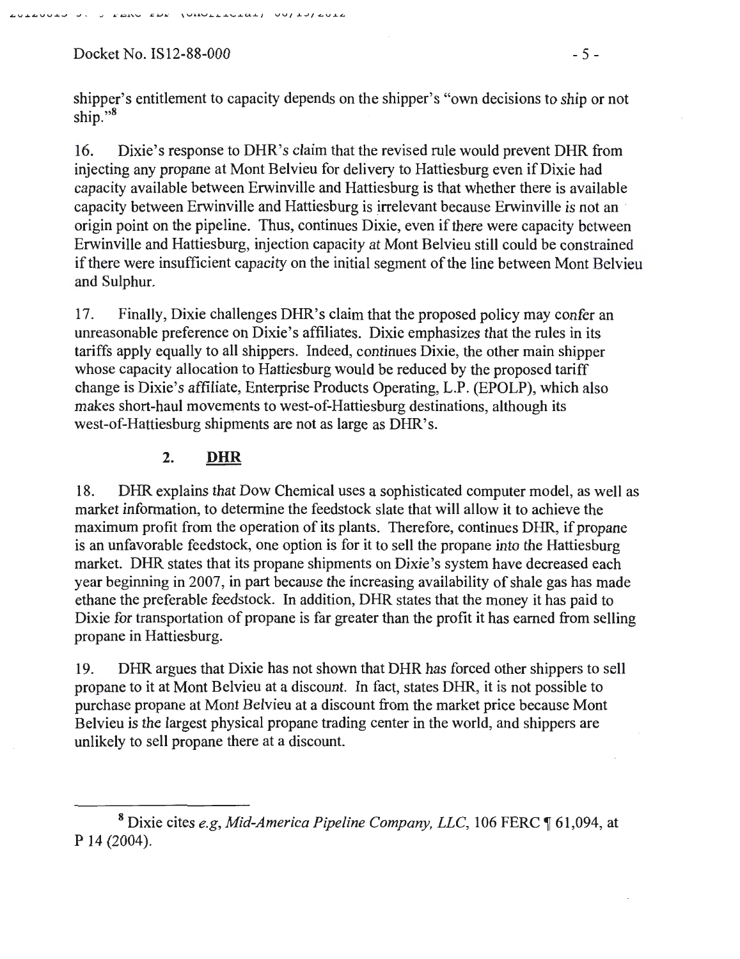Docket No. IS12-88-000 - 5 -

shipper's entitlement to capacity depends on the shipper's "own decisions to ship or not ship."<sup>8</sup>

16. Dixie's response to DHR's claim that the revised rule would prevent DHR from injecting any propane at Mont Belvieu for delivery to Hattiesburg even if Dixie had capacity available between Erwinville and Hattiesburg is that whether there is available capacity between Erwinville and Hattiesburg is irrelevant because Erwinville is not an · origin point on the pipeline. Thus, continues Dixie, even if there were capacity between Erwinville and Hattiesburg, injection capacity at Mont Belvieu still could be constrained if there were insufficient capacity on the initial segment of the line between Mont Belvieu and Sulphur.

17. Finally, Dixie challenges DHR's claim that the proposed policy may confer an unreasonable preference on Dixie's affiliates. Dixie emphasizes that the rules in its tariffs apply equally to all shippers. Indeed, continues Dixie, the other main shipper whose capacity allocation to Hattiesburg would be reduced by the proposed tariff change is Dixie's affiliate, Enterprise Products Operating, L.P. (EPOLP), which also makes short-haul movements to west-of-Hattiesburg destinations, although its west-of-Hattiesburg shipments are not as large as DHR's.

## **2. DHR**

18. DHR explains that Dow Chemical uses a sophisticated computer model, as well as market information, to determine the feedstock slate that will allow it to achieve the maximum profit from the operation of its plants. Therefore, continues DHR, if propane is an unfavorable feedstock, one option is for it to sell the propane into the Hattiesburg market. DHR states that its propane shipments on Dixie's system have decreased each year beginning in 2007, in part because the increasing availability of shale gas has made ethane the preferable feedstock. In addition, DHR states that the money it has paid to Dixie for transportation of propane is far greater than the profit it has earned from selling propane in Hattiesburg.

19. DHR argues that Dixie has not shown that DHR has forced other shippers to sell propane to it at Mont Belvieu at a discount. In fact, states DHR, it is not possible to purchase propane at Mont Belvieu at a discount from the market price because Mont Belvieu is the largest physical propane trading center in the world, and shippers are unlikely to sell propane there at a discount.

<sup>&</sup>lt;sup>8</sup> Dixie cites *e.g, Mid-America Pipeline Company, LLC*, 106 FERC ¶ 61,094, at p 14 (2004).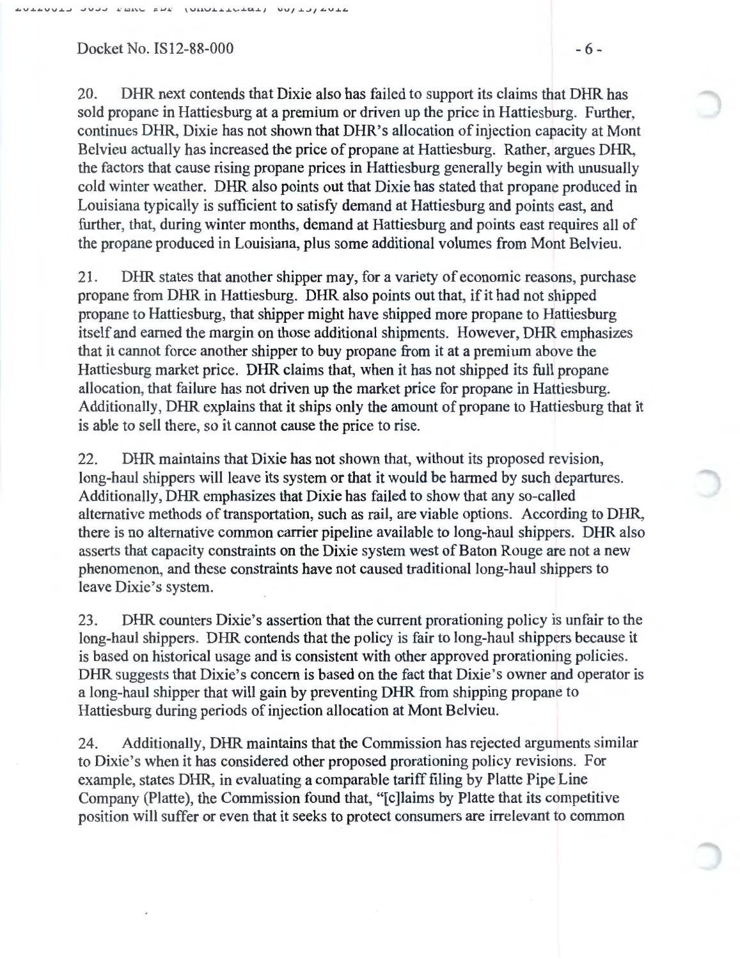Docket No. IS12-88-000  $-6$ -

20. DHR next contends that Dixie also has failed to support its claims that DHR has sold propane in Hattiesburg at a premium or driven up the price in Hattiesburg. Further, continues DHR, Dixie has not shown that DHR's allocation of injection capacity at Mont Belvieu actually has increased the price of propane at Hattiesburg. Rather, argues DHR, the factors that cause rising propane prices in Hattiesburg generally begin with unusually cold winter weather. DHR also points out that Dixie has stated that propane produced in Louisiana typically is sufficient to satisfy demand at Hattiesburg and points east, and further, that, during winter months, demand at Hattiesburg and points east requires all of the propane produced in Louisiana, plus some additional volumes from Mont Belvieu.

21 . DHR states that another shipper may, for a variety of economic reasons, purchase propane from DHR in Hattiesburg. DHR also points out that, if it had not shipped propane to Hattiesburg, that shipper might have shipped more propane to Hattiesburg itself and earned the margin on those additional shipments. However, DHR emphasizes that it cannot force another shipper to buy propane from it at a premium above the Hattiesburg market price. DHR claims that, when it has not shipped its full propane allocation, that failure has not driven up the market price for propane in Hattiesburg. Additionally, DHR explains that it ships only the amount of propane to Hattiesburg that it is able to sell there, so it cannot cause the price to rise.

22. DHR maintains that Dixie has not shown that, without its proposed revision, long-haul shippers will leave its system or that it would be harmed by such departures. Additionally, DHR emphasizes that Dixie has failed to show that any so-called alternative methods of transportation, such as rail, are viable options. According to DHR, there is no alternative common carrier pipeline available to long-haul shippers. DHR also asserts that capacity constraints on the Dixie system west of Baton Rouge are not a new phenomenon, and these constraints have not caused traditional long-haul shippers to leave Dixie's system.

23. DHR counters Dixie's assertion that the current prorationing policy is unfair to the long-haul shippers. DHR contends that the policy is fair to long-haul shippers because it is based on historical usage and is consistent with other approved prorationing policies. DHR suggests that Dixie's concern is based on the fact that Dixie's owner and operator is a long-haul shipper that will gain by preventing DHR from shipping propane to Hattiesburg during periods of injection allocation at Mont Belvieu.

24. Additionally, DHR maintains that the Commission has rejected arguments similar to Dixie's when it has considered other proposed prorationing policy revisions. For example, states DHR, in evaluating a comparable tariff filing by Platte Pipe Line Company (Platte), the Commission found that, "[c]laims by Platte that its competitive position will suffer or even that it seeks to protect consumers are irrelevant to common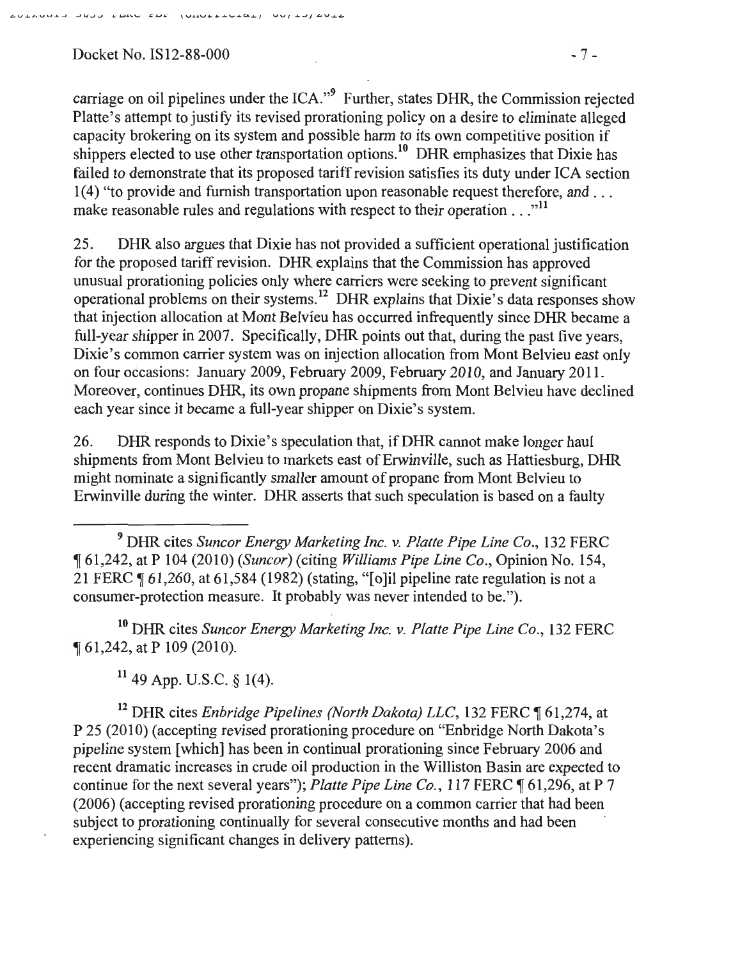Docket No. IS12-88-000 - 7 -

carriage on oil pipelines under the ICA."9 Further, states DHR, the Commission rejected Platte's attempt to justify its revised prorationing policy on a desire to eliminate alleged capacity brokering on its system and possible harm to its own competitive position if shippers elected to use other transportation options.<sup>10</sup> DHR emphasizes that Dixie has failed to demonstrate that its proposed tariff revision satisfies its duty under ICA section 1(4) "to provide and furnish transportation upon reasonable request therefore, and .. . make reasonable rules and regulations with respect to their operation  $\dots$ <sup>"11</sup>

25. DHR also argues that Dixie has not provided a sufficient operational justification for the proposed tariff revision. DHR explains that the Commission has approved unusual prorationing policies only where carriers were seeking to prevent significant operational problems on their systems. 12 DHR explains that Dixie's data responses show that injection allocation at Mont Belvieu has occurred infrequently since DHR became a full-year shipper in 2007. Specifically, DHR points out that, during the past five years, Dixie's common carrier system was on injection allocation from Mont Belvieu east only on four occasions: January 2009, February 2009, February 2010, and January 2011. Moreover, continues DHR, its own propane shipments from Mont Belvieu have declined each year since it became a full-year shipper on Dixie's system.

26. DHR responds to Dixie's speculation that, if DHR cannot make longer haul shipments from Mont Belvieu to markets east of Erwinville, such as Hattiesburg, DHR might nominate a significantly smaller amount of propane from Mont Belvieu to Erwinville during the winter. DHR asserts that such speculation is based on a faulty

10 DHR cites *Suncor Energy Marketing Inc. v. Platte Pipe Line Co.,* 132 FERC <sup>~</sup>61,242, at P 109 (201 0).

 $11$  49 App. U.S.C. § 1(4).

<sup>12</sup> DHR cites *Enbridge Pipelines (North Dakota) LLC*, 132 FERC ¶ 61,274, at P 25 (2010) (accepting revised prorationing procedure on "Enbridge North Dakota's pipeline system [which] has been in continual prorationing since February 2006 and recent dramatic increases in crude oil production in the Williston Basin are expected to continue for the next several years"); *Platte Pipe Line Co.*, 117 FERC ¶ 61,296, at P 7 (2006) (accepting revised prorationing procedure on a common carrier that had been subject to prorationing continually for several consecutive months and had been experiencing significant changes in delivery patterns).

<sup>9</sup> DHR cites *Suncor Energy Marketing Inc. v. Platte Pipe Line Co.,* 132 FERC <sup>~</sup>61,242, at P 104 (2010) *(Suncor)* (citing *Williams Pipe Line Co.,* Opinion No. 154, 21 FERC  $\P$  61,260, at 61,584 (1982) (stating, "[o]il pipeline rate regulation is not a consumer-protection measure. It probably was never intended to be.").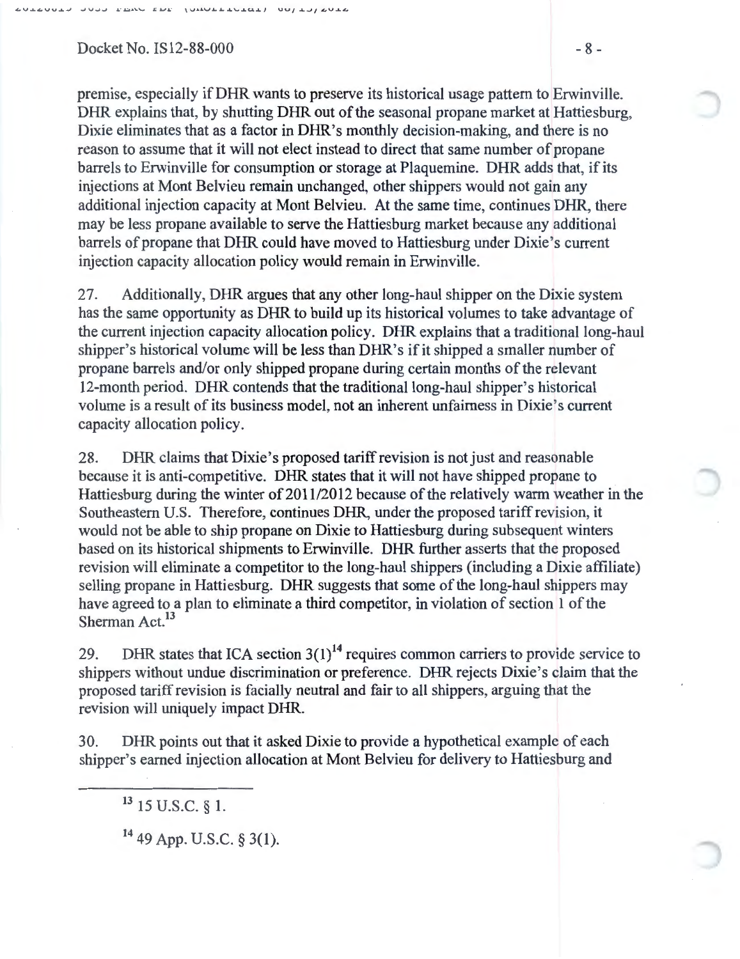$Docket No.$  IS12-88-000  $-8-$ 

premise, especially ifDHR wants to preserve its historical usage pattern to Erwinville. DHR explains that, by shutting DHR out of the seasonal propane market at Hattiesburg, Dixie eliminates that as a factor in DHR's monthly decision-making, and there is no reason to assume that it will not elect instead to direct that same number of propane barrels to Erwinville for consumption or storage at Plaquemine. DHR adds that, if its injections at Mont Belvieu remain unchanged, other shippers would not gain any additional injection capacity at Mont Belvieu. At the same time, continues DHR, there may be less propane available to serve the Hattiesburg market because any additional barrels of propane that DHR could have moved to Hattiesburg under Dixie's current injection capacity allocation policy would remain in Erwinville.

27. Additionally, DHR argues that any other long-haul shipper on the Dixie system has the same opportunity as DHR to build up its historical volumes to take advantage of the current injection capacity allocation policy. DHR explains that a traditional long-haul shipper's historical volume will be less than DHR's if it shipped a smaller number of propane barrels and/or only shipped propane during certain months of the relevant 12-month period. DHR contends that the traditional long-haul shipper's historical volume is a result of its business model, not an inherent unfairness in Dixie's current capacity allocation policy.

28. DHR claims that Dixie's proposed tariff revision is not just and reasonable because it is anti-competitive. DHR states that it will not have shipped propane to Hattiesburg during the winter of 2011/2012 because of the relatively warm weather in the Southeastern U.S. Therefore, continues DHR, under the proposed tariff revision, it would not be able to ship propane on Dixie to Hattiesburg during subsequent winters based on its historical shipments to Erwinville. DHR further asserts that the proposed revision will eliminate a competitor to the long-haul shippers (including a Dixie affiliate) selling propane in Hattiesburg. DHR suggests that some of the long-haul shippers may have agreed to a plan to eliminate a third competitor, in violation of section 1 of the Sherman Act.<sup>13</sup>

29. DHR states that ICA section  $3(1)^{14}$  requires common carriers to provide service to shippers without undue discrimination or preference. DHR rejects Dixie's claim that the proposed tariff revision is facially neutral and fair to all shippers, arguing that the revision will uniquely impact DHR.

30. DHR points out that it asked Dixie to provide a hypothetical example of each shipper's earned injection allocation at Mont Belvieu for delivery to Hattiesburg and

<sup>&</sup>lt;sup>13</sup> 15 U.S.C. § 1.

<sup>14 49</sup> App. U.S.C. § 3(1).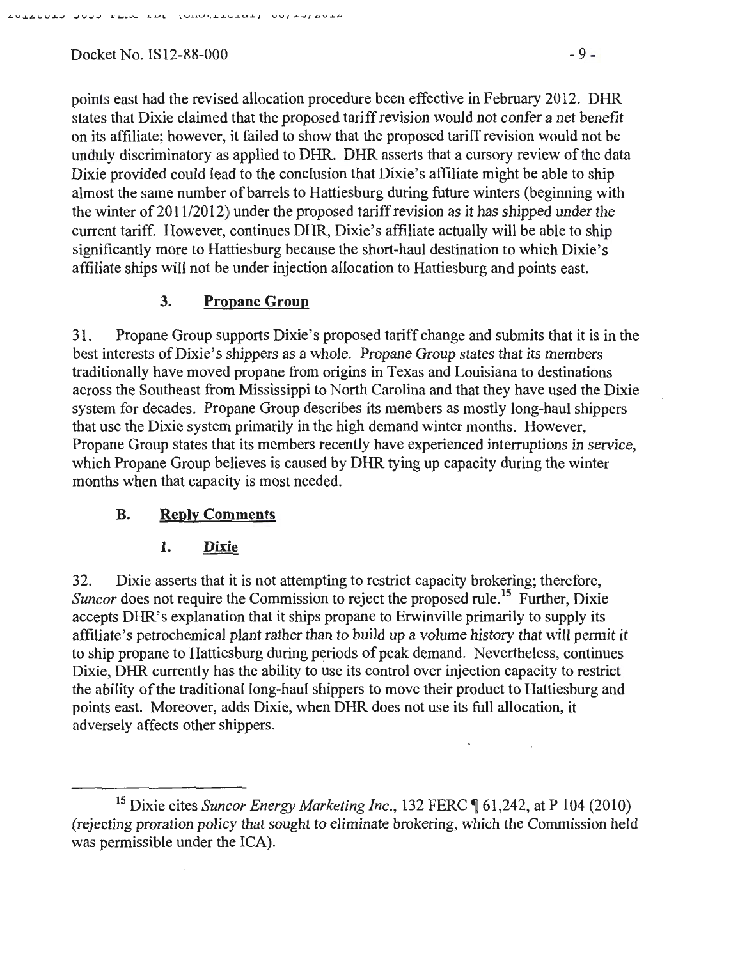$Docket No. IS12-88-000$  - 9 -

points east had the revised allocation procedure been effective in February 2012. DHR states that Dixie claimed that the proposed tariff revision would not confer a net benefit on its affiliate; however, it failed to show that the proposed tariff revision would not be unduly discriminatory as applied to DHR. DHR asserts that a cursory review of the data Dixie provided could lead to the conclusion that Dixie's affiliate might be able to ship almost the same number of barrels to Hattiesburg during future winters (beginning with the winter of  $2011/2012$ ) under the proposed tariff revision as it has shipped under the current tariff. However, continues DHR, Dixie's affiliate actually will be able to ship significantly more to Hattiesburg because the short-haul destination to which Dixie's affiliate ships will not be under injection allocation to Hattiesburg and points east.

# **3. Propane Group**

31. Propane Group supports Dixie's proposed tariff change and submits that it is in the best interests of Dixie's shippers as a whole. Propane Group states that its members traditionally have moved propane from origins in Texas and Louisiana to destinations across the Southeast from Mississippi to North Carolina and that they have used the Dixie system for decades. Propane Group describes its members as mostly long-haul shippers that use the Dixie system primarily in the high demand winter months. However, Propane Group states that its members recently have experienced interruptions in service, which Propane Group believes is caused by DHR tying up capacity during the winter months when that capacity is most needed.

# **B. Reply Comments**

#### 1. **Dixie**

32. Dixie asserts that it is not attempting to restrict capacity brokering; therefore, *Suncor* does not require the Commission to reject the proposed rule.<sup>15</sup> Further, Dixie accepts DHR's explanation that it ships propane to Erwinville primarily to supply its affiliate's petrochemical plant rather than to build up a volume history that will permit it to ship propane to Hattiesburg during periods of peak demand. Nevertheless, continues Dixie, DHR currently has the ability to use its control over injection capacity to restrict the ability of the traditional long-haul shippers to move their product to Hattiesburg and points east. Moreover, adds Dixie, when DHR does not use its full allocation, it adversely affects other shippers.

 $\mathcal{L}_{\mathcal{A}}$ 

<sup>&</sup>lt;sup>15</sup> Dixie cites *Suncor Energy Marketing Inc.*, 132 FERC ¶ 61,242, at P 104 (2010) (rejecting proration policy that sought to eliminate brokering, which the Commission held was permissible under the ICA).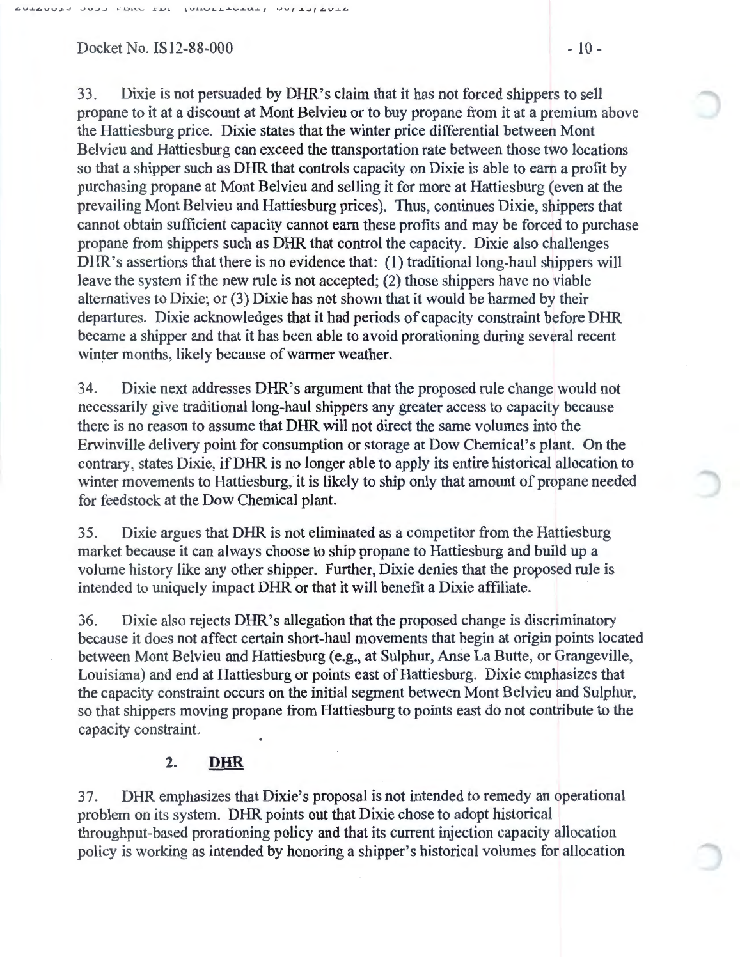$Dacket No.$  IS12-88-000  $-10-$ 

33. Dixie is not persuaded by DHR's claim that it has not forced shippers to sell propane to it at a discount at Mont Belvieu or to buy propane from it at a premium above the Hattiesburg price. Dixie states that the winter price differential between Mont Belvieu and Hattiesburg can exceed the transportation rate between those two locations so that a shipper such as DHR that controls capacity on Dixie is able to earn a profit by purchasing propane at Mont Belvieu and selling it for more at Hattiesburg (even at the prevailing Mont Belvieu and Hattiesburg prices). Thus, continues Dixie, shippers that cannot obtain sufficient capacity cannot earn these profits and may be forced to purchase propane from shippers such as DHR that control the capacity. Dixie also challenges DHR's assertions that there is no evidence that: (1) traditional long-haul shippers will leave the system if the new rule is not accepted; (2) those shippers have no viable alternatives to Dixie; or (3) Dixie has not shown that it would be harmed by their departures. Dixie acknowledges that it had periods of capacity constraint before DHR became a shipper and that it has been able to avoid prorationing during several recent winter months, likely because of warmer weather.

34. Dixie next addresses DHR's argument that the proposed rule change would not necessarily give traditional long-haul shippers any greater access to capacity because there is no reason to assume that DHR will not direct the same volumes into the Erwinville delivery point for consumption or storage at Dow Chemical's plant. On the contrary, states Dixie, ifDHR is no longer able to apply its entire historical allocation to winter movements to Hattiesburg, it is likely to ship only that amount of propane needed for feedstock at the Dow Chemical plant.

35. Dixie argues that DHR is not eliminated as a competitor from the Hattiesburg market because it can always choose to ship propane to Hattiesburg and build up a volume history like any other shipper. Further, Dixie denies that the proposed rule is intended to uniquely impact DHR or that it will benefit a Dixie affiliate.

36. Dixie also rejects DHR's allegation that the proposed change is discriminatory because it does not affect certain short-haul movements that begin at origin points located between Mont Belvieu and Hattiesburg (e.g., at Sulphur, Anse La Butte, or Grangeville, Louisiana) and end at Hattiesburg or points east of Hattiesburg. Dixie emphasizes that the capacity constraint occurs on the initial segment between Mont Belvieu and Sulphur, so that shippers moving propane from Hattiesburg to points east do not contribute to the capacity constraint.

## 2. DHR

37. DHR emphasizes that Dixie's proposal is not intended to remedy an operational problem on its system. DHR points out that Dixie chose to adopt historical throughput-based prorationing policy and that its current injection capacity allocation policy is working as intended by honoring a shipper's historical volumes for allocation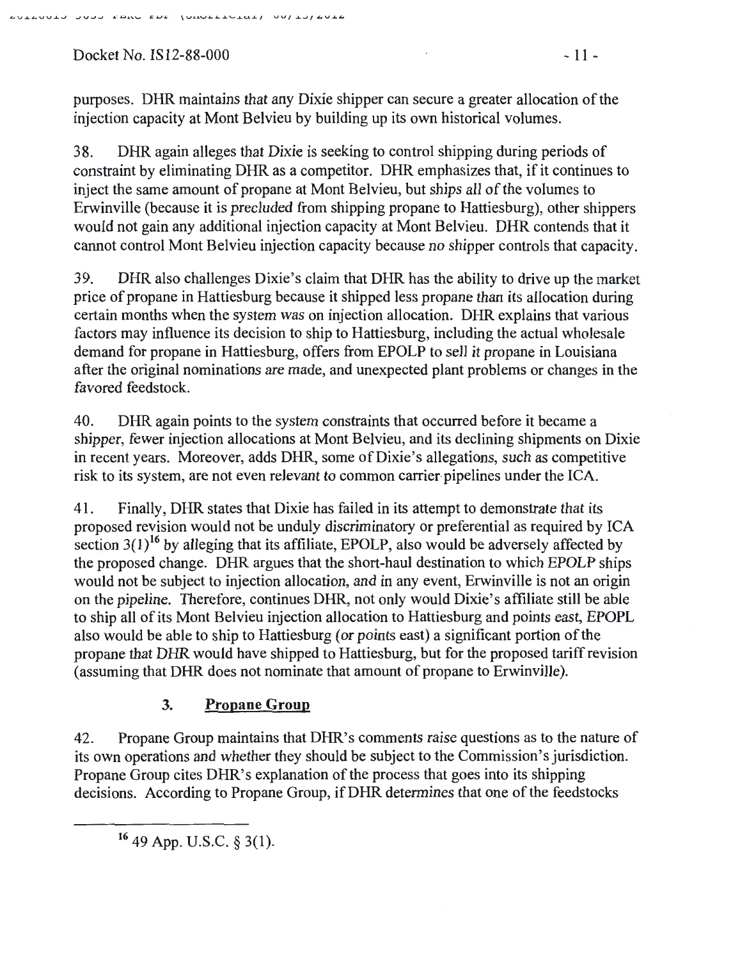Docket No. IS12-88-000 - 11 -

purposes. DHR maintains that any Dixie shipper can secure a greater allocation of the injection capacity at Mont Belvieu by building up its own historical volumes.

38. DHR again alleges that Dixie is seeking to control shipping during periods of constraint by eliminating DHR as a competitor. DHR emphasizes that, if it continues to inject the same amount of propane at Mont Belvieu, but ships all of the volumes to Erwinville (because it is precluded from shipping propane to Hattiesburg), other shippers would not gain any additional injection capacity at Mont Belvieu. DHR contends that it cannot control Mont Belvieu injection capacity because no shipper controls that capacity.

39. DHR also challenges Dixie's claim that DHR has the ability to drive up the market price of propane in Hattiesburg because it shipped less propane than its allocation during certain months when the system was on injection allocation. DHR explains that various factors may influence its decision to ship to Hattiesburg, including the actual wholesale demand for propane in Hattiesburg, offers from EPOLP to sell it propane in Louisiana after the original nominations are made, and unexpected plant problems or changes in the favored feedstock.

40. DHR again points to the system constraints that occurred before it became a shipper, fewer injection allocations at Mont Belvieu, and its declining shipments on Dixie in recent years. Moreover, adds DHR, some of Dixie's allegations, such as competitive risk to its system, are not even relevant to common carrier pipelines under the ICA.

41. Finally, DHR states that Dixie has failed in its attempt to demonstrate that its proposed revision would not be unduly discriminatory or preferential as required by ICA section  $3(1)^{16}$  by alleging that its affiliate, EPOLP, also would be adversely affected by the proposed change. DHR argues that the short-haul destination to which EPOLP ships would not be subject to injection allocation, and in any event, Erwinville is not an origin on the pipeline. Therefore, continues DHR, not only would Dixie's affiliate still be able to ship all of its Mont Belvieu injection allocation to Hattiesburg and points east, EPOPL also would be able to ship to Hattiesburg (or points east) a significant portion of the propane that DHR would have shipped to Hattiesburg, but for the proposed tariff revision (assuming that DHR does not nominate that amount of propane to Erwinville).

# **3. Propane Group**

42. Propane Group maintains that DHR's comments raise questions as to the nature of its own operations and whether they should be subject to the Commission's jurisdiction. Propane Group cites DHR's explanation of the process that goes into its shipping decisions. According to Propane Group, ifDHR determines that one of the feedstocks

16 49 App. U.S.C. § 3(1).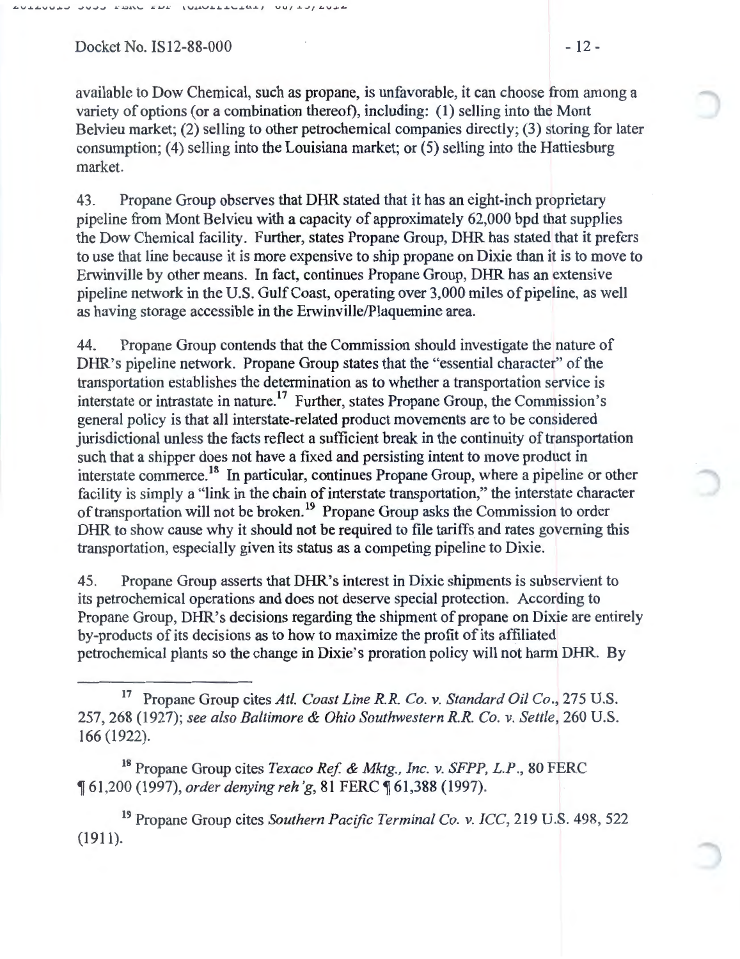Docket No. IS12-88-000 - 12 -

available to Dow Chemical, such as propane, is unfavorable, it can choose from among a variety of options (or a combination thereof), including: ( 1) selling into the Mont Belvieu market; (2) selling to other petrochemical companies directly; (3) storing for later consumption; (4) selling into the Louisiana market; or  $(5)$  selling into the Hattiesburg market.

43. Propane Group observes that DHR stated that it has an eight-inch proprietary pipeline from Mont Belvieu with a capacity of approximately 62,000 bpd that supplies the Dow Chemical facility. Further, states Propane Group, DHR has stated that it prefers to use that line because it is more expensive to ship propane on Dixie than it is to move to Erwinville by other means. In fact, continues Propane Group, DHR has an extensive pipeline network in the U.S. Gulf Coast, operating over 3,000 miles of pipeline, as well as having storage accessible in the Erwinville/Plaquemine area.

44. Propane Group contends that the Commission should investigate the nature of DHR's pipeline network. Propane Group states that the "essential character" of the transportation establishes the determination as to whether a transportation service is interstate or intrastate in nature.<sup>17</sup> Further, states Propane Group, the Commission's general policy is that all interstate-related product movements are to be considered jurisdictional unless the facts reflect a sufficient break in the continuity of transportation such that a shipper does not have a fixed and persisting intent to move product in interstate commerce.<sup>18</sup> In particular, continues Propane Group, where a pipeline or other facility is simply a "link in the chain of interstate transportation," the interstate character of transportation will not be broken.<sup>19</sup> Propane Group asks the Commission to order DHR to show cause why it should not be required to file tariffs and rates governing this transportation, especially given its status as a competing pipeline to Dixie.

45. Propane Group asserts that DHR's interest in Dixie shipments is subservient to its petrochemical operations and does not deserve special protection. According to Propane Group, DHR's decisions regarding the shipment of propane on Dixie are entirely by-products of its decisions as to how to maximize the profit of its affiliated petrochemical plants so the change in Dixie's proration policy will not harm DHR. By

18 Propane Group cites *Texaco Ref* & Mktg., *Inc. v. SFPP, L.P.,* 80 FERC <sup>~</sup>61,200 (1997), *order denying reh 'g,* 81 FERC ~ 61,388 (1997).

19 Propane Group cites *Southern Pacific Terminal Co. v. ICC,* 219 U.S. 498, 522 (1911).

<sup>17</sup> Propane Group cites *Atl. Coast Line R.R. Co. v. Standard Oil Co.,* 275 U.S. 257, 268 (1927); *see also Baltimore* & *Ohio Southwestern R.R. Co. v. Settle,* 260 U.S. 166 (1922).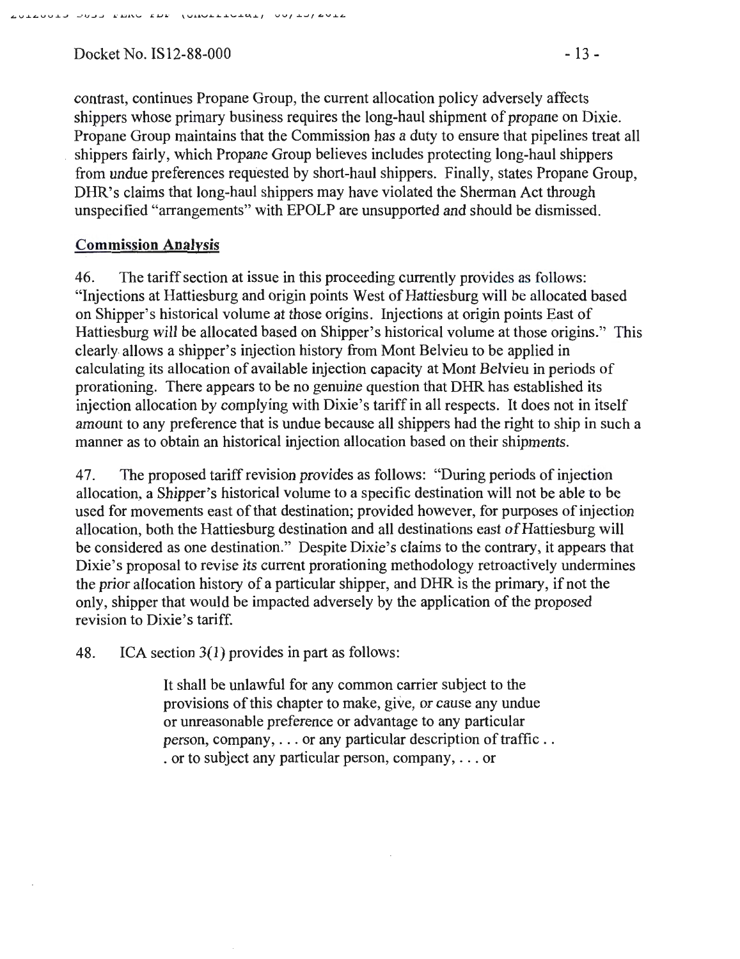Docket No. IS12-88-000 - 13 -

contrast, continues Propane Group, the current allocation policy adversely affects shippers whose primary business requires the long-haul shipment of propane on Dixie. Propane Group maintains that the Commission has a duty to ensure that pipelines treat all shippers fairly, which Propane Group believes includes protecting long-haul shippers from undue preferences requested by short-haul shippers. Finally, states Propane Group, DHR's claims that long-haul shippers may have violated the Sherman Act through unspecified "arrangements" with EPOLP are unsupported and should be dismissed.

## Commission Analysis

46. The tariff section at issue in this proceeding currently provides as follows: "Injections at Hattiesburg and origin points West of Hattiesburg will be allocated based on Shipper's historical volume at those origins. Injections at origin points East of Hattiesburg will be allocated based on Shipper's historical volume at those origins." This clearly. allows a shipper's injection history from Mont Belvieu to be applied in calculating its allocation of available injection capacity at Mont Belvieu in periods of prorationing. There appears to be no genuine question that DHR has established its injection allocation by complying with Dixie's tariff in all respects. It does not in itself amount to any preference that is undue because all shippers had the right to ship in such a manner as to obtain an historical injection allocation based on their shipments.

4 7. The proposed tariff revision provides as follows: "During periods of injection allocation, a Shipper's historical volume to a specific destination will not be able to be used for movements east of that destination; provided however, for purposes of injection allocation, both the Hattiesburg destination and all destinations east of Hattiesburg will be considered as one destination." Despite Dixie's claims to the contrary, it appears that Dixie's proposal to revise its current prorationing methodology retroactively undermines the prior allocation history of a particular shipper, and DHR is the primary, if not the only, shipper that would be impacted adversely by the application of the proposed revision to Dixie's tariff.

48. ICA section 3(1) provides in part as follows:

It shall be unlawful for any common carrier subject to the provisions of this chapter to make, give, or cause any undue or unreasonable preference or advantage to any particular person, company, ... or any particular description of traffic . . . or to subject any particular person, company, ... or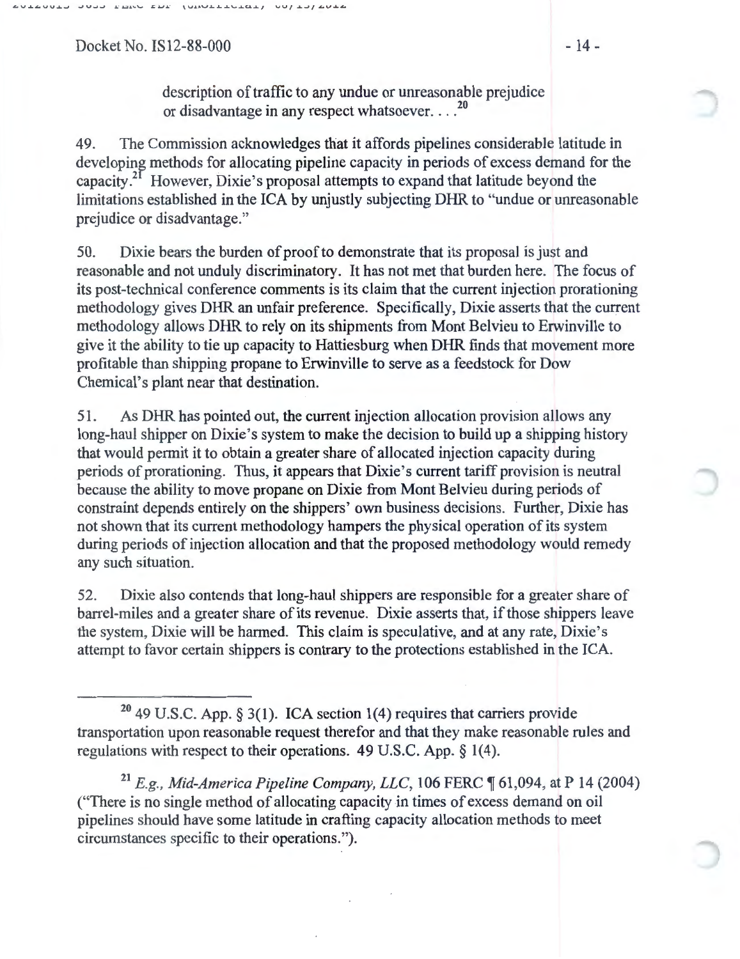Docket No. IS12-88-000 - 14 -

description of traffic to any undue or unreasonable prejudice or disadvantage in any respect whatsoever....<sup>20</sup>

49. The Commission acknowledges that it affords pipelines considerable latitude in developing methods for allocating pipeline capacity in periods of excess demand for the capacity.<sup>21</sup> However, Dixie's proposal attempts to expand that latitude beyond the limitations established in the ICA by unjustly subjecting DHR to "undue or unreasonable prejudice or disadvantage."

50. Dixie bears the burden of proof to demonstrate that its proposal is just and reasonable and not unduly discriminatory. It has not met that burden here. The focus of its post-technical conference comments is its claim that the current injection prorationing methodology gives DHR an unfair preference. Specifically, Dixie asserts that the current methodology allows DHR to rely on its shipments from Mont Belvieu to Erwinville to give it the ability to tie up capacity to Hattiesburg when DHR finds that movement more profitable than shipping propane to Erwinville to serve as a feedstock for Dow Chemical's plant near that destination.

51. As DHR has pointed out, the current injection allocation provision allows any long-haul shipper on Dixie's system to make the decision to build up a shipping history that would permit it to obtain a greater share of allocated injection capacity during periods of prorationing. Thus, it appears that Dixie's current tariff provision is neutral because the ability to move propane on Dixie from Mont Belvieu during periods of constraint depends entirely on the shippers' own business decisions. Further, Dixie has not shown that its current methodology hampers the physical operation of its system during periods of injection allocation and that the proposed methodology would remedy any such situation.

52. Dixie also contends that long-haul shippers are responsible for a greater share of barrel-miles and a greater share of its revenue. Dixie asserts that, if those shippers leave the system, Dixie will be harmed. This claim is speculative, and at any rate, Dixie's attempt to favor certain shippers is contrary to the protections established in the ICA.

<sup>&</sup>lt;sup>20</sup> 49 U.S.C. App. § 3(1). ICA section 1(4) requires that carriers provide transportation upon reasonable request therefor and that they make reasonable rules and regulations with respect to their operations. 49 U.S.C. App. § 1(4).

<sup>&</sup>lt;sup>21</sup> E.g., Mid-America Pipeline Company, LLC, 106 FERC  $\parallel$  61,094, at P 14 (2004) ("There is no single method of allocating capacity in times of excess demand on oil pipelines should have some latitude in crafting capacity allocation methods to meet circumstances specific to their operations.").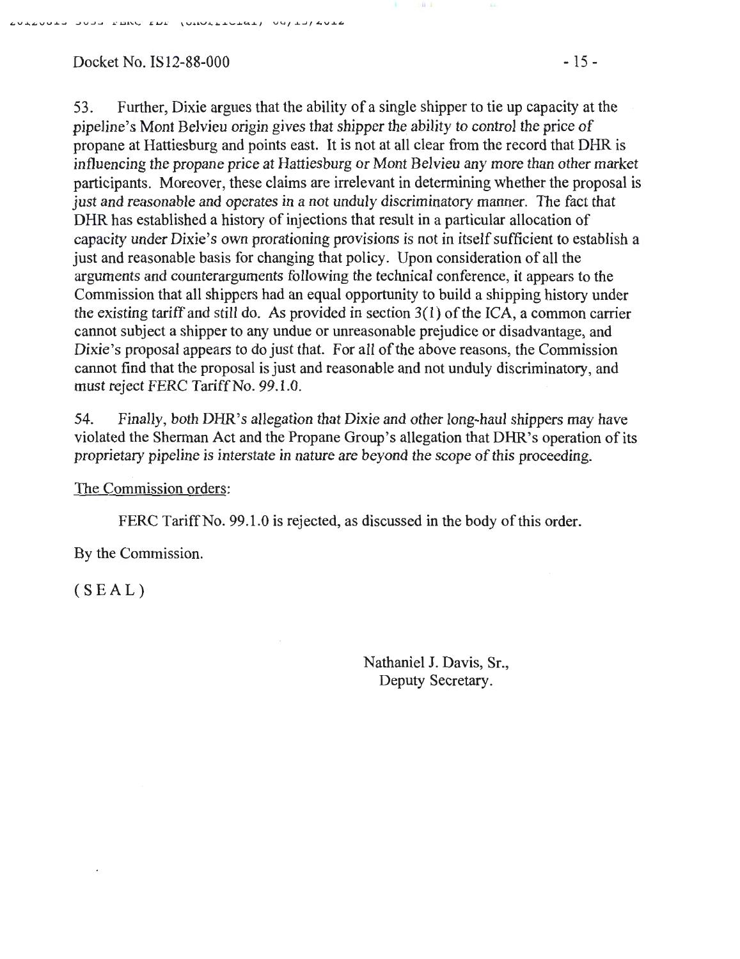Docket No. IS12-88-000 -15-

""V..L,VV..L....I .-JV-J-1 .\_. J.:U.'\.\,.. L J.J J . ." \V.I.4V.1...L...L\,....LC',..L..LJ VU/ *..L....Jf* .L.V..L.""

53. Further, Dixie argues that the ability of a single shipper to tie up capacity at the pipeline's Mont Belvieu origin gives that shipper the ability to control the price of propane at Hattiesburg and points east. It is not at all clear from the record that DHR is influencing the propane price at Hattiesburg or Mont Belvieu any more than other market participants. Moreover, these claims are irrelevant in determining whether the proposal is just and reasonable and operates in a not unduly discriminatory manner. The fact that DHR has established a history of injections that result in a particular allocation of capacity under Dixie's own prorationing provisions is not in itself sufficient to establish a just and reasonable basis for changing that policy. Upon consideration of all the arguments and counterarguments following the technical conference, it appears to the Commission that all shippers had an equal opportunity to build a shipping history under the existing tariff and still do. As provided in section 3(1) of the ICA, a common carrier cannot subject a shipper to any undue or unreasonable prejudice or disadvantage, and Dixie's proposal appears to do just that. For all of the above reasons, the Commission cannot find that the proposal is just and reasonable and not unduly discriminatory, and must reject FERC Tariff No. 99.1.0.

Il l

54. Finally, both DHR's allegation that Dixie and other long-haul shippers may have violated the Sherman Act and the Propane Group's allegation that DHR's operation of its proprietary pipeline is interstate in nature are beyond the scope of this proceeding.

The Commission orders:

FERC Tariff No. 99.1.0 is rejected, as discussed in the body of this order.

By the Commission.

 $(SEAL)$ 

Nathaniel J. Davis, Sr., Deputy Secretary.